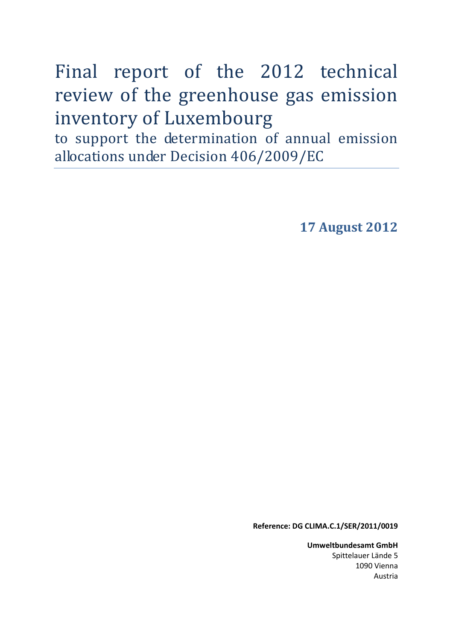# Final report of the 2012 technical review of the greenhouse gas emission inventory of Luxembourg

to support the determination of annual emission allocations under Decision 406/2009/EC

**17 August 2012** 

**Reference: DG CLIMA.C.1/SER/2011/0019** 

**Umweltbundesamt GmbH** Spittelauer Lände 5 1090 Vienna Austria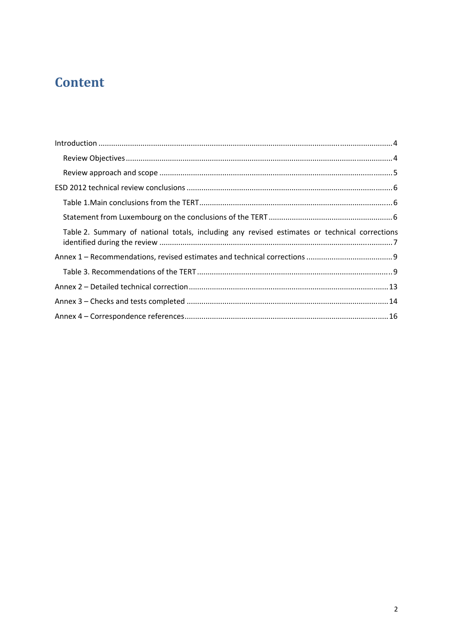# **Content**

| Table 2. Summary of national totals, including any revised estimates or technical corrections |  |
|-----------------------------------------------------------------------------------------------|--|
|                                                                                               |  |
|                                                                                               |  |
|                                                                                               |  |
|                                                                                               |  |
|                                                                                               |  |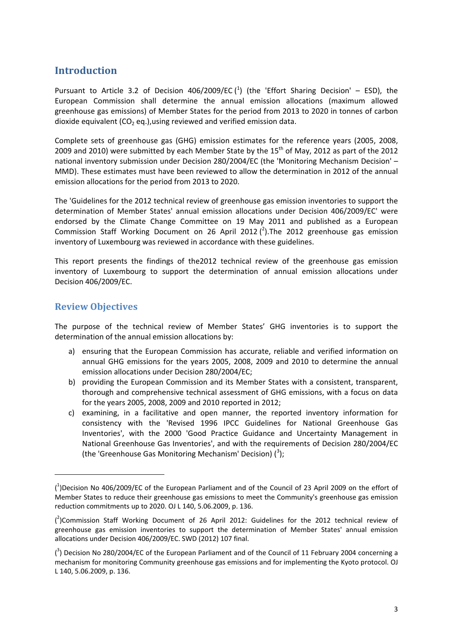### <span id="page-2-0"></span>**Introduction**

Pursuant to Article 3.2 of Decision 406/2009/EC  $(^1)$  (the 'Effort Sharing Decision' – ESD), the European Commission shall determine the annual emission allocations (maximum allowed greenhouse gas emissions) of Member States for the period from 2013 to 2020 in tonnes of carbon dioxide equivalent  $(CO<sub>2</sub> eq.)$ , using reviewed and verified emission data.

Complete sets of greenhouse gas (GHG) emission estimates for the reference years (2005, 2008, 2009 and 2010) were submitted by each Member State by the 15<sup>th</sup> of May, 2012 as part of the 2012 national inventory submission under Decision 280/2004/EC (the 'Monitoring Mechanism Decision' – MMD). These estimates must have been reviewed to allow the determination in 2012 of the annual emission allocations for the period from 2013 to 2020.

The 'Guidelines for the 2012 technical review of greenhouse gas emission inventories to support the determination of Member States' annual emission allocations under Decision 406/2009/EC' were endorsed by the Climate Change Committee on 19 May 2011 and published as a European Commission Staff Working Document on 26 April 2012  $(^2)$ . The 2012 greenhouse gas emission inventory of Luxembourg was reviewed in accordance with these guidelines.

This report presents the findings of the2012 technical review of the greenhouse gas emission inventory of Luxembourg to support the determination of annual emission allocations under Decision 406/2009/EC.

#### <span id="page-2-1"></span>**Review Objectives**

1

The purpose of the technical review of Member States' GHG inventories is to support the determination of the annual emission allocations by:

- a) ensuring that the European Commission has accurate, reliable and verified information on annual GHG emissions for the years 2005, 2008, 2009 and 2010 to determine the annual emission allocations under Decision 280/2004/EC;
- b) providing the European Commission and its Member States with a consistent, transparent, thorough and comprehensive technical assessment of GHG emissions, with a focus on data for the years 2005, 2008, 2009 and 2010 reported in 2012;
- c) examining, in a facilitative and open manner, the reported inventory information for consistency with the 'Revised 1996 IPCC Guidelines for National Greenhouse Gas Inventories', with the 2000 'Good Practice Guidance and Uncertainty Management in National Greenhouse Gas Inventories', and with the requirements of Decision 280/2004/EC (the 'Greenhouse Gas Monitoring Mechanism' Decision)  $(^3)$ ;

<sup>(</sup> 1 [\)Decision No 406/2009/EC of the European Parliament and of the Council of 23 April 2009 on the effort of](http://eur-lex.europa.eu/LexUriServ/LexUriServ.do?uri=OJ:L:2009:140:0136:0148:EN:PDF)  [Member States to reduce their greenhouse gas emissions to meet the Community's greenhouse gas emission](http://eur-lex.europa.eu/LexUriServ/LexUriServ.do?uri=OJ:L:2009:140:0136:0148:EN:PDF)  [reduction commitments up to 2020.](http://eur-lex.europa.eu/LexUriServ/LexUriServ.do?uri=OJ:L:2009:140:0136:0148:EN:PDF) OJ L 140, 5.06.2009, p. 136.

 $(^2)$ Commission Staff Working Document of 26 April 2012: Guidelines for the 2012 technical review of [greenhouse gas emission inventories to support the determination of Member States' annual emission](http://ec.europa.eu/clima/policies/effort/docs/swd_2012_107_en.pdf)  [allocations under Decision 406/2009/EC.](http://ec.europa.eu/clima/policies/effort/docs/swd_2012_107_en.pdf) SWD (2012) 107 final.

 $\binom{3}{1}$  Decision No 280/2004/EC of the European Parliament and of the Council of 11 February 2004 concerning a [mechanism for monitoring Community greenhouse gas emissions and for implementing the Kyoto protocol.](http://eur-lex.europa.eu/LexUriServ/LexUriServ.do?uri=OJ:L:2004:049:0001:0001:EN:PDF) OJ L 140, 5.06.2009, p. 136.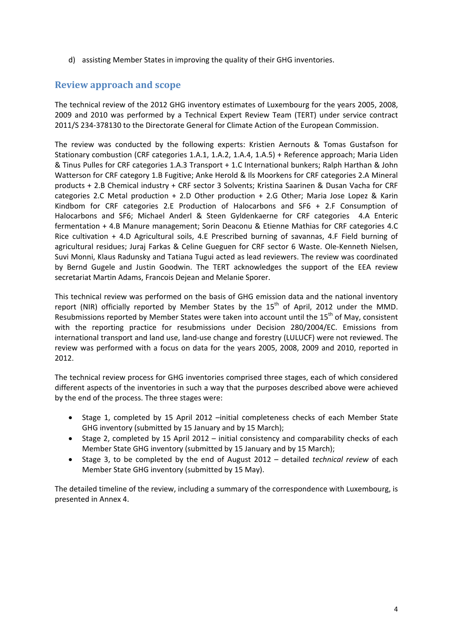d) assisting Member States in improving the quality of their GHG inventories.

#### <span id="page-3-0"></span>**Review approach and scope**

The technical review of the 2012 GHG inventory estimates of Luxembourg for the years 2005, 2008, 2009 and 2010 was performed by a Technical Expert Review Team (TERT) under service contract 2011/S 234-378130 to the Directorate General for Climate Action of the European Commission.

The review was conducted by the following experts: Kristien Aernouts & Tomas Gustafson for Stationary combustion (CRF categories 1.A.1, 1.A.2, 1.A.4, 1.A.5) + Reference approach; Maria Liden & Tinus Pulles for CRF categories 1.A.3 Transport + 1.C International bunkers; Ralph Harthan & John Watterson for CRF category 1.B Fugitive; Anke Herold & Ils Moorkens for CRF categories 2.A Mineral products + 2.B Chemical industry + CRF sector 3 Solvents; Kristina Saarinen & Dusan Vacha for CRF categories 2.C Metal production + 2.D Other production + 2.G Other; Maria Jose Lopez & Karin Kindbom for CRF categories 2.E Production of Halocarbons and SF6 + 2.F Consumption of Halocarbons and SF6; Michael Anderl & Steen Gyldenkaerne for CRF categories 4.A Enteric fermentation + 4.B Manure management; Sorin Deaconu & Etienne Mathias for CRF categories 4.C Rice cultivation + 4.D Agricultural soils, 4.E Prescribed burning of savannas, 4.F Field burning of agricultural residues; Juraj Farkas & Celine Gueguen for CRF sector 6 Waste. Ole-Kenneth Nielsen, Suvi Monni, Klaus Radunsky and Tatiana Tugui acted as lead reviewers. The review was coordinated by Bernd Gugele and Justin Goodwin. The TERT acknowledges the support of the EEA review secretariat Martin Adams, Francois Dejean and Melanie Sporer.

This technical review was performed on the basis of GHG emission data and the national inventory report (NIR) officially reported by Member States by the  $15<sup>th</sup>$  of April, 2012 under the MMD. Resubmissions reported by Member States were taken into account until the  $15<sup>th</sup>$  of May, consistent with the reporting practice for resubmissions under Decision 280/2004/EC. Emissions from international transport and land use, land-use change and forestry (LULUCF) were not reviewed. The review was performed with a focus on data for the years 2005, 2008, 2009 and 2010, reported in 2012.

The technical review process for GHG inventories comprised three stages, each of which considered different aspects of the inventories in such a way that the purposes described above were achieved by the end of the process. The three stages were:

- Stage 1, completed by 15 April 2012 –initial completeness checks of each Member State GHG inventory (submitted by 15 January and by 15 March);
- Stage 2, completed by 15 April 2012 initial consistency and comparability checks of each Member State GHG inventory (submitted by 15 January and by 15 March);
- Stage 3, to be completed by the end of August 2012 detailed *technical review* of each Member State GHG inventory (submitted by 15 May).

The detailed timeline of the review, including a summary of the correspondence with Luxembourg, is presented in Annex 4.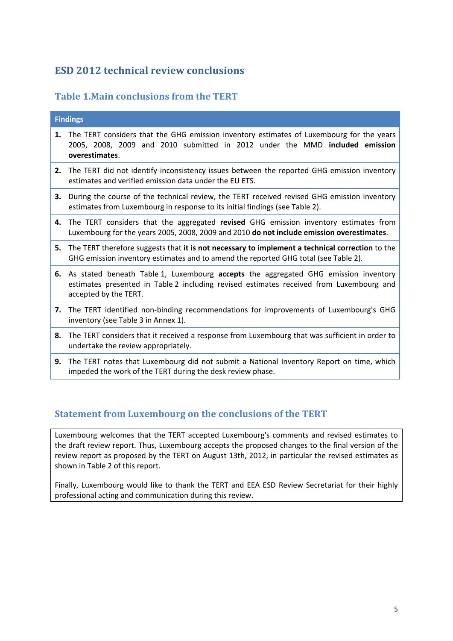### <span id="page-4-0"></span>**ESD 2012 technical review conclusions**

### <span id="page-4-1"></span>**Table 1.Main conclusions from the TERT**

|    | <b>Findings</b>                                                                                                                                                                                            |
|----|------------------------------------------------------------------------------------------------------------------------------------------------------------------------------------------------------------|
| 1. | The TERT considers that the GHG emission inventory estimates of Luxembourg for the years<br>2005, 2008, 2009 and 2010 submitted in 2012 under the MMD included emission<br>overestimates.                  |
| 2. | The TERT did not identify inconsistency issues between the reported GHG emission inventory<br>estimates and verified emission data under the EU ETS.                                                       |
| 3. | During the course of the technical review, the TERT received revised GHG emission inventory<br>estimates from Luxembourg in response to its initial findings (see Table 2).                                |
|    | 4. The TERT considers that the aggregated revised GHG emission inventory estimates from<br>Luxembourg for the years 2005, 2008, 2009 and 2010 do not include emission overestimates.                       |
|    | 5. The TERT therefore suggests that it is not necessary to implement a technical correction to the<br>GHG emission inventory estimates and to amend the reported GHG total (see Table 2).                  |
|    | 6. As stated beneath Table 1, Luxembourg accepts the aggregated GHG emission inventory<br>estimates presented in Table 2 including revised estimates received from Luxembourg and<br>accepted by the TERT. |
|    | 7. The TERT identified non-binding recommendations for improvements of Luxembourg's GHG<br>inventory (see Table 3 in Annex 1).                                                                             |
|    | 8. The TERT considers that it received a response from Luxembourg that was sufficient in order to<br>undertake the review appropriately.                                                                   |
| 9. | The TERT notes that Luxembourg did not submit a National Inventory Report on time, which                                                                                                                   |

# <span id="page-4-2"></span>**Statement from Luxembourg on the conclusions of the TERT**

impeded the work of the TERT during the desk review phase.

Luxembourg welcomes that the TERT accepted Luxembourg's comments and revised estimates to the draft review report. Thus, Luxembourg accepts the proposed changes to the final version of the review report as proposed by the TERT on August 13th, 2012, in particular the revised estimates as shown in Table 2 of this report.

Finally, Luxembourg would like to thank the TERT and EEA ESD Review Secretariat for their highly professional acting and communication during this review.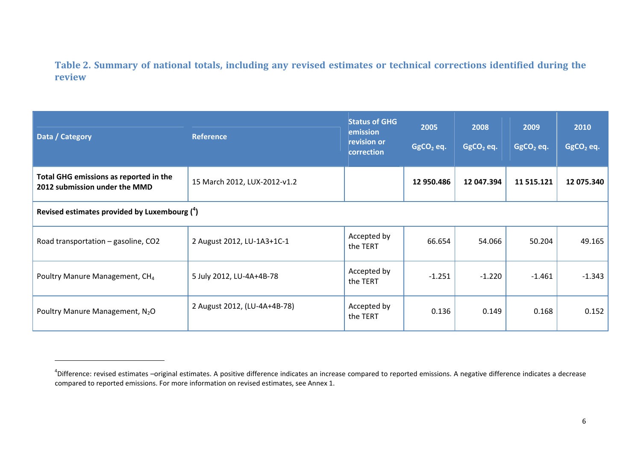### **Table 2. Summary of national totals, including any revised estimates or technical corrections identified during the review**

| Data / Category                                                         | <b>Reference</b>             | <b>Status of GHG</b><br>emission<br>revision or<br>correction |            | 2008<br>$GgCO2$ eq. | 2009<br>$GgCO2$ eq. | 2010<br>$GgCO2$ eq. |  |
|-------------------------------------------------------------------------|------------------------------|---------------------------------------------------------------|------------|---------------------|---------------------|---------------------|--|
| Total GHG emissions as reported in the<br>2012 submission under the MMD | 15 March 2012, LUX-2012-v1.2 |                                                               | 12 950.486 | 12 047.394          | 11 515.121          | 12 075.340          |  |
| Revised estimates provided by Luxembourg $(^4)$                         |                              |                                                               |            |                     |                     |                     |  |
| Road transportation - gasoline, CO2                                     | 2 August 2012, LU-1A3+1C-1   | Accepted by<br>the TERT                                       | 66.654     | 54.066              | 50.204              | 49.165              |  |
| Poultry Manure Management, CH <sub>4</sub>                              | 5 July 2012, LU-4A+4B-78     | Accepted by<br>the TERT                                       | $-1.251$   | $-1.220$            | $-1.461$            | $-1.343$            |  |
| Poultry Manure Management, N <sub>2</sub> O                             | 2 August 2012, (LU-4A+4B-78) | Accepted by<br>the TERT                                       | 0.136      | 0.149               | 0.168               | 0.152               |  |

<span id="page-5-0"></span><sup>&</sup>lt;sup>4</sup>Difference: revised estimates –original estimates. A positive difference indicates an increase compared to reported emissions. A negative difference indicates a decrease compared to reported emissions. For more information on revised estimates, see Annex 1.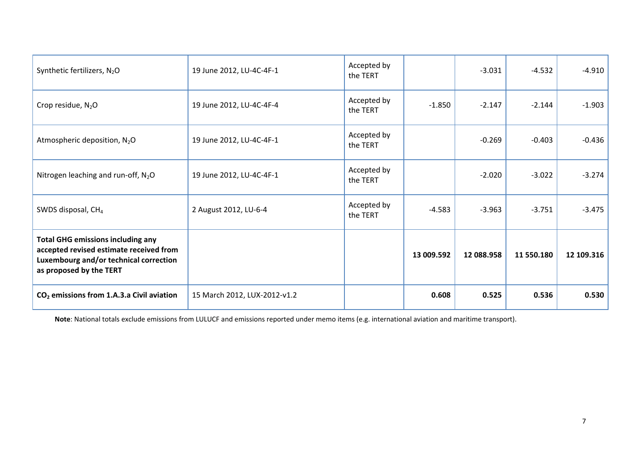| Synthetic fertilizers, N <sub>2</sub> O                                                                                                                  | 19 June 2012, LU-4C-4F-1     | Accepted by<br>the TERT |            | $-3.031$   | $-4.532$   | $-4.910$   |
|----------------------------------------------------------------------------------------------------------------------------------------------------------|------------------------------|-------------------------|------------|------------|------------|------------|
| Crop residue, $N_2O$                                                                                                                                     | 19 June 2012, LU-4C-4F-4     | Accepted by<br>the TERT | $-1.850$   | $-2.147$   | $-2.144$   | $-1.903$   |
| Atmospheric deposition, N <sub>2</sub> O                                                                                                                 | 19 June 2012, LU-4C-4F-1     | Accepted by<br>the TERT |            | $-0.269$   | $-0.403$   | $-0.436$   |
| Nitrogen leaching and run-off, $N_2O$                                                                                                                    | 19 June 2012, LU-4C-4F-1     | Accepted by<br>the TERT |            | $-2.020$   | $-3.022$   | $-3.274$   |
| SWDS disposal, CH <sub>4</sub>                                                                                                                           | 2 August 2012, LU-6-4        | Accepted by<br>the TERT | $-4.583$   | $-3.963$   | $-3.751$   | $-3.475$   |
| <b>Total GHG emissions including any</b><br>accepted revised estimate received from<br>Luxembourg and/or technical correction<br>as proposed by the TERT |                              |                         | 13 009.592 | 12 088.958 | 11 550.180 | 12 109.316 |
| $CO2$ emissions from 1.A.3.a Civil aviation                                                                                                              | 15 March 2012, LUX-2012-v1.2 |                         | 0.608      | 0.525      | 0.536      | 0.530      |

**Note**: National totals exclude emissions from LULUCF and emissions reported under memo items (e.g. international aviation and maritime transport).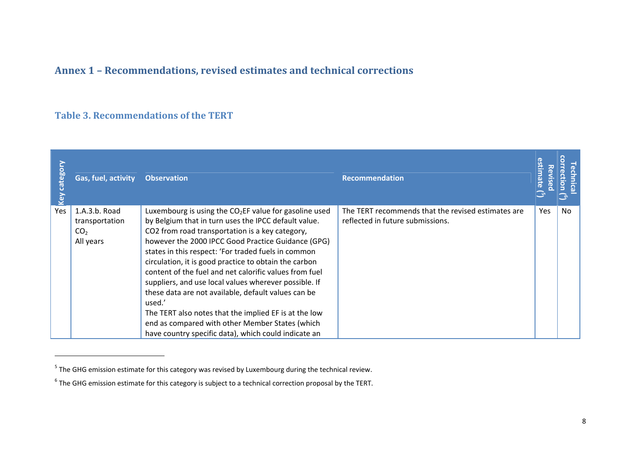### **Annex 1 – Recommendations, revised estimates and technical corrections**

### **Table 3. Recommendations of the TERT**

| <b>Leg</b> | Gas, fuel, activity                                             | <b>Observation</b>                                                                                                                                                                                                                                                                                                                                                                                                                                                                                                                                                                                                                                                                               | <b>Recommendation</b>                                                                  |            |    |
|------------|-----------------------------------------------------------------|--------------------------------------------------------------------------------------------------------------------------------------------------------------------------------------------------------------------------------------------------------------------------------------------------------------------------------------------------------------------------------------------------------------------------------------------------------------------------------------------------------------------------------------------------------------------------------------------------------------------------------------------------------------------------------------------------|----------------------------------------------------------------------------------------|------------|----|
| Yes        | 1.A.3.b. Road<br>transportation<br>CO <sub>2</sub><br>All years | Luxembourg is using the $CO2EF$ value for gasoline used<br>by Belgium that in turn uses the IPCC default value.<br>CO2 from road transportation is a key category,<br>however the 2000 IPCC Good Practice Guidance (GPG)<br>states in this respect: 'For traded fuels in common<br>circulation, it is good practice to obtain the carbon<br>content of the fuel and net calorific values from fuel<br>suppliers, and use local values wherever possible. If<br>these data are not available, default values can be<br>used.'<br>The TERT also notes that the implied EF is at the low<br>end as compared with other Member States (which<br>have country specific data), which could indicate an | The TERT recommends that the revised estimates are<br>reflected in future submissions. | <b>Yes</b> | No |

 $<sup>5</sup>$  The GHG emission estimate for this category was revised by Luxembourg during the technical review.</sup>

<span id="page-7-1"></span><span id="page-7-0"></span> $6$  The GHG emission estimate for this category is subject to a technical correction proposal by the TERT.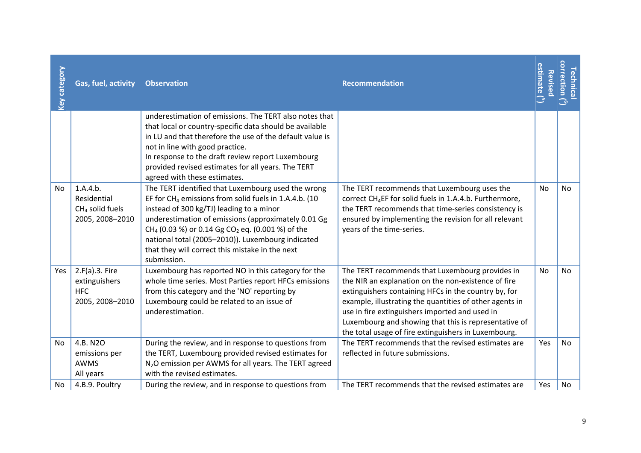| No  | No                                                                                                                                                                                                                                                                                                                                                                                                                                                                                                                                                                                                                                                                                                   |
|-----|------------------------------------------------------------------------------------------------------------------------------------------------------------------------------------------------------------------------------------------------------------------------------------------------------------------------------------------------------------------------------------------------------------------------------------------------------------------------------------------------------------------------------------------------------------------------------------------------------------------------------------------------------------------------------------------------------|
| No  | <b>No</b>                                                                                                                                                                                                                                                                                                                                                                                                                                                                                                                                                                                                                                                                                            |
| Yes | <b>No</b><br>No                                                                                                                                                                                                                                                                                                                                                                                                                                                                                                                                                                                                                                                                                      |
|     | The TERT recommends that Luxembourg uses the<br>correct CH <sub>4</sub> EF for solid fuels in 1.A.4.b. Furthermore,<br>the TERT recommends that time-series consistency is<br>ensured by implementing the revision for all relevant<br>The TERT recommends that Luxembourg provides in<br>the NIR an explanation on the non-existence of fire<br>extinguishers containing HFCs in the country by, for<br>example, illustrating the quantities of other agents in<br>Luxembourg and showing that this is representative of<br>the total usage of fire extinguishers in Luxembourg.<br>The TERT recommends that the revised estimates are<br>The TERT recommends that the revised estimates are<br>Yes |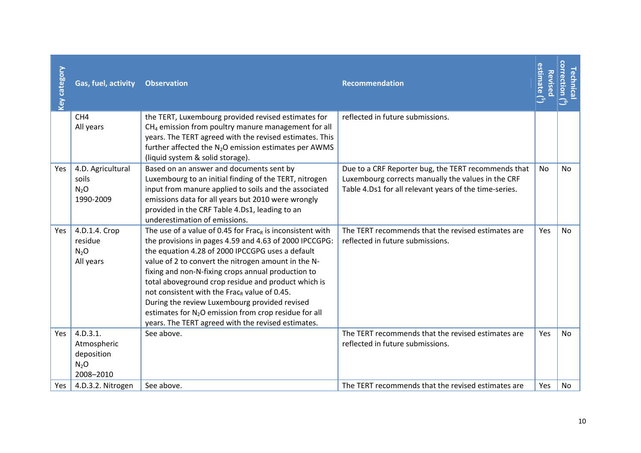| <b>Key category</b> | Gas, fuel, activity                                          | <b>Observation</b>                                                                                                                                                                                                                                                                                                                                                                                                                                                                                                                                                                              | <b>Recommendation</b>                                                                                                                                               | estimate ( $^5$<br>Revised | <b>orrection</b><br><b>echnica</b><br>$\tilde{\mathbb{C}}$ |
|---------------------|--------------------------------------------------------------|-------------------------------------------------------------------------------------------------------------------------------------------------------------------------------------------------------------------------------------------------------------------------------------------------------------------------------------------------------------------------------------------------------------------------------------------------------------------------------------------------------------------------------------------------------------------------------------------------|---------------------------------------------------------------------------------------------------------------------------------------------------------------------|----------------------------|------------------------------------------------------------|
|                     | CH <sub>4</sub><br>All years                                 | the TERT, Luxembourg provided revised estimates for<br>$CH4$ emission from poultry manure management for all<br>years. The TERT agreed with the revised estimates. This<br>further affected the N <sub>2</sub> O emission estimates per AWMS<br>(liquid system & solid storage).                                                                                                                                                                                                                                                                                                                | reflected in future submissions.                                                                                                                                    |                            |                                                            |
| Yes                 | 4.D. Agricultural<br>soils<br>$N_2O$<br>1990-2009            | Based on an answer and documents sent by<br>Luxembourg to an initial finding of the TERT, nitrogen<br>input from manure applied to soils and the associated<br>emissions data for all years but 2010 were wrongly<br>provided in the CRF Table 4.Ds1, leading to an<br>underestimation of emissions.                                                                                                                                                                                                                                                                                            | Due to a CRF Reporter bug, the TERT recommends that<br>Luxembourg corrects manually the values in the CRF<br>Table 4.Ds1 for all relevant years of the time-series. | <b>No</b>                  | <b>No</b>                                                  |
| Yes                 | 4.D.1.4. Crop<br>residue<br>N <sub>2</sub> O<br>All years    | The use of a value of 0.45 for Frac <sub>R</sub> is inconsistent with<br>the provisions in pages 4.59 and 4.63 of 2000 IPCCGPG:<br>the equation 4.28 of 2000 IPCCGPG uses a default<br>value of 2 to convert the nitrogen amount in the N-<br>fixing and non-N-fixing crops annual production to<br>total aboveground crop residue and product which is<br>not consistent with the Frac <sub>R</sub> value of 0.45.<br>During the review Luxembourg provided revised<br>estimates for N <sub>2</sub> O emission from crop residue for all<br>years. The TERT agreed with the revised estimates. | The TERT recommends that the revised estimates are<br>reflected in future submissions.                                                                              | <b>Yes</b>                 | <b>No</b>                                                  |
| Yes                 | 4.D.3.1.<br>Atmospheric<br>deposition<br>$N_2O$<br>2008-2010 | See above.                                                                                                                                                                                                                                                                                                                                                                                                                                                                                                                                                                                      | The TERT recommends that the revised estimates are<br>reflected in future submissions.                                                                              | Yes                        | <b>No</b>                                                  |
| Yes                 | 4.D.3.2. Nitrogen                                            | See above.                                                                                                                                                                                                                                                                                                                                                                                                                                                                                                                                                                                      | The TERT recommends that the revised estimates are                                                                                                                  | Yes                        | No                                                         |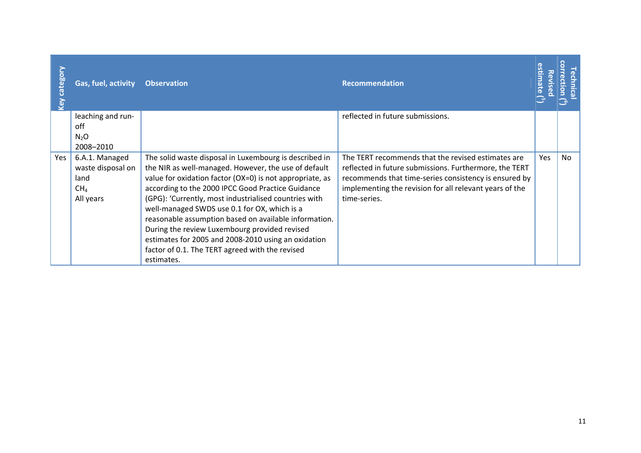| <b>Category</b><br><u>Vey</u> | Gas, fuel, activity                 | <b>Observation</b>                                                                                             | <b>Recommendation</b>                                                                                            | stima<br>Revise | ctio |
|-------------------------------|-------------------------------------|----------------------------------------------------------------------------------------------------------------|------------------------------------------------------------------------------------------------------------------|-----------------|------|
|                               | leaching and run-                   |                                                                                                                | reflected in future submissions.                                                                                 |                 |      |
|                               | off<br>N <sub>2</sub> O             |                                                                                                                |                                                                                                                  |                 |      |
|                               | 2008-2010                           |                                                                                                                |                                                                                                                  |                 |      |
| Yes                           | 6.A.1. Managed<br>waste disposal on | The solid waste disposal in Luxembourg is described in<br>the NIR as well-managed. However, the use of default | The TERT recommends that the revised estimates are<br>reflected in future submissions. Furthermore, the TERT     | Yes             | No   |
|                               | land<br>CH <sub>4</sub>             | value for oxidation factor (OX=0) is not appropriate, as<br>according to the 2000 IPCC Good Practice Guidance  | recommends that time-series consistency is ensured by<br>implementing the revision for all relevant years of the |                 |      |
|                               | All years                           | (GPG): 'Currently, most industrialised countries with                                                          | time-series.                                                                                                     |                 |      |
|                               |                                     | well-managed SWDS use 0.1 for OX, which is a                                                                   |                                                                                                                  |                 |      |
|                               |                                     | reasonable assumption based on available information.<br>During the review Luxembourg provided revised         |                                                                                                                  |                 |      |
|                               |                                     | estimates for 2005 and 2008-2010 using an oxidation                                                            |                                                                                                                  |                 |      |
|                               |                                     | factor of 0.1. The TERT agreed with the revised                                                                |                                                                                                                  |                 |      |
|                               |                                     | estimates.                                                                                                     |                                                                                                                  |                 |      |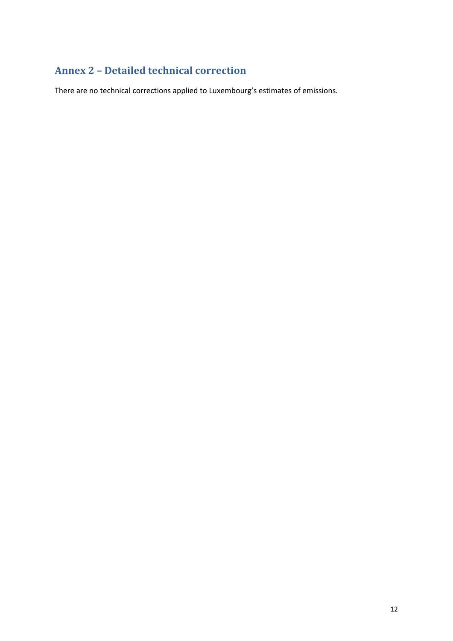### <span id="page-11-0"></span>**Annex 2 – Detailed technical correction**

There are no technical corrections applied to Luxembourg's estimates of emissions.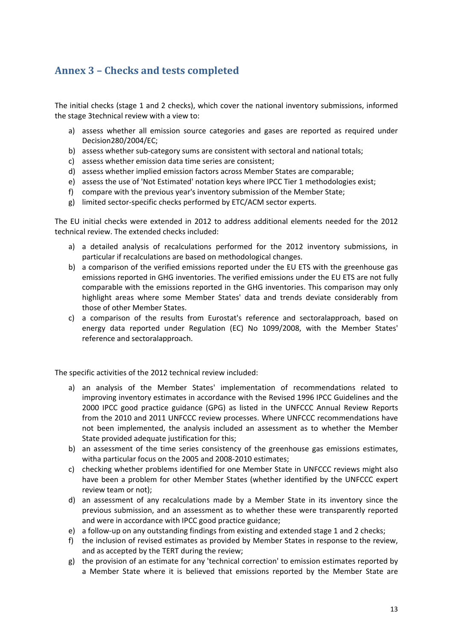### <span id="page-12-0"></span>**Annex 3 – Checks and tests completed**

The initial checks (stage 1 and 2 checks), which cover the national inventory submissions, informed the stage 3technical review with a view to:

- a) assess whether all emission source categories and gases are reported as required under Decision280/2004/EC;
- b) assess whether sub-category sums are consistent with sectoral and national totals;
- c) assess whether emission data time series are consistent;
- d) assess whether implied emission factors across Member States are comparable;
- e) assess the use of 'Not Estimated' notation keys where IPCC Tier 1 methodologies exist;
- f) compare with the previous year's inventory submission of the Member State;
- g) limited sector-specific checks performed by ETC/ACM sector experts.

The EU initial checks were extended in 2012 to address additional elements needed for the 2012 technical review. The extended checks included:

- a) a detailed analysis of recalculations performed for the 2012 inventory submissions, in particular if recalculations are based on methodological changes.
- b) a comparison of the verified emissions reported under the EU ETS with the greenhouse gas emissions reported in GHG inventories. The verified emissions under the EU ETS are not fully comparable with the emissions reported in the GHG inventories. This comparison may only highlight areas where some Member States' data and trends deviate considerably from those of other Member States.
- c) a comparison of the results from Eurostat's reference and sectoralapproach, based on energy data reported under Regulation (EC) No 1099/2008, with the Member States' reference and sectoralapproach.

The specific activities of the 2012 technical review included:

- a) an analysis of the Member States' implementation of recommendations related to improving inventory estimates in accordance with the Revised 1996 IPCC Guidelines and the 2000 IPCC good practice guidance (GPG) as listed in the UNFCCC Annual Review Reports from the 2010 and 2011 UNFCCC review processes. Where UNFCCC recommendations have not been implemented, the analysis included an assessment as to whether the Member State provided adequate justification for this;
- b) an assessment of the time series consistency of the greenhouse gas emissions estimates, witha particular focus on the 2005 and 2008-2010 estimates;
- c) checking whether problems identified for one Member State in UNFCCC reviews might also have been a problem for other Member States (whether identified by the UNFCCC expert review team or not);
- d) an assessment of any recalculations made by a Member State in its inventory since the previous submission, and an assessment as to whether these were transparently reported and were in accordance with IPCC good practice guidance;
- e) a follow-up on any outstanding findings from existing and extended stage 1 and 2 checks;
- f) the inclusion of revised estimates as provided by Member States in response to the review, and as accepted by the TERT during the review;
- g) the provision of an estimate for any 'technical correction' to emission estimates reported by a Member State where it is believed that emissions reported by the Member State are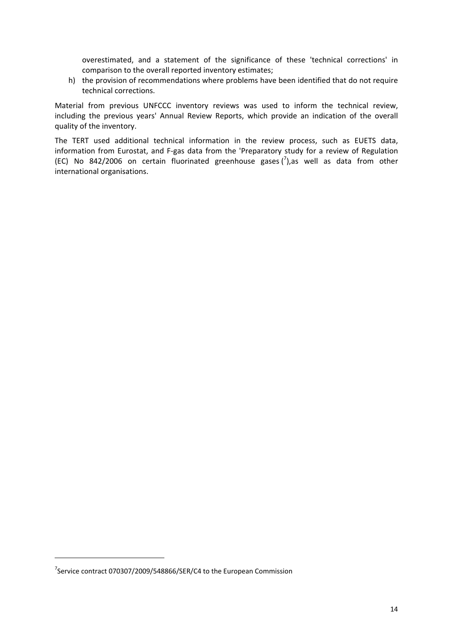overestimated, and a statement of the significance of these 'technical corrections' in comparison to the overall reported inventory estimates;

h) the provision of recommendations where problems have been identified that do not require technical corrections.

Material from previous UNFCCC inventory reviews was used to inform the technical review, including the previous years' Annual Review Reports, which provide an indication of the overall quality of the inventory.

The TERT used additional technical information in the review process, such as EUETS data, information from Eurostat, and F-gas data from the 'Preparatory study for a review of Regulation (EC) No 842/2006 on certain fluorinated greenhouse gases  $\binom{7}{2}$ , as well as data from other international organisations.

**.** 

 $7$ Service contract 070307/2009/548866/SER/C4 to the European Commission